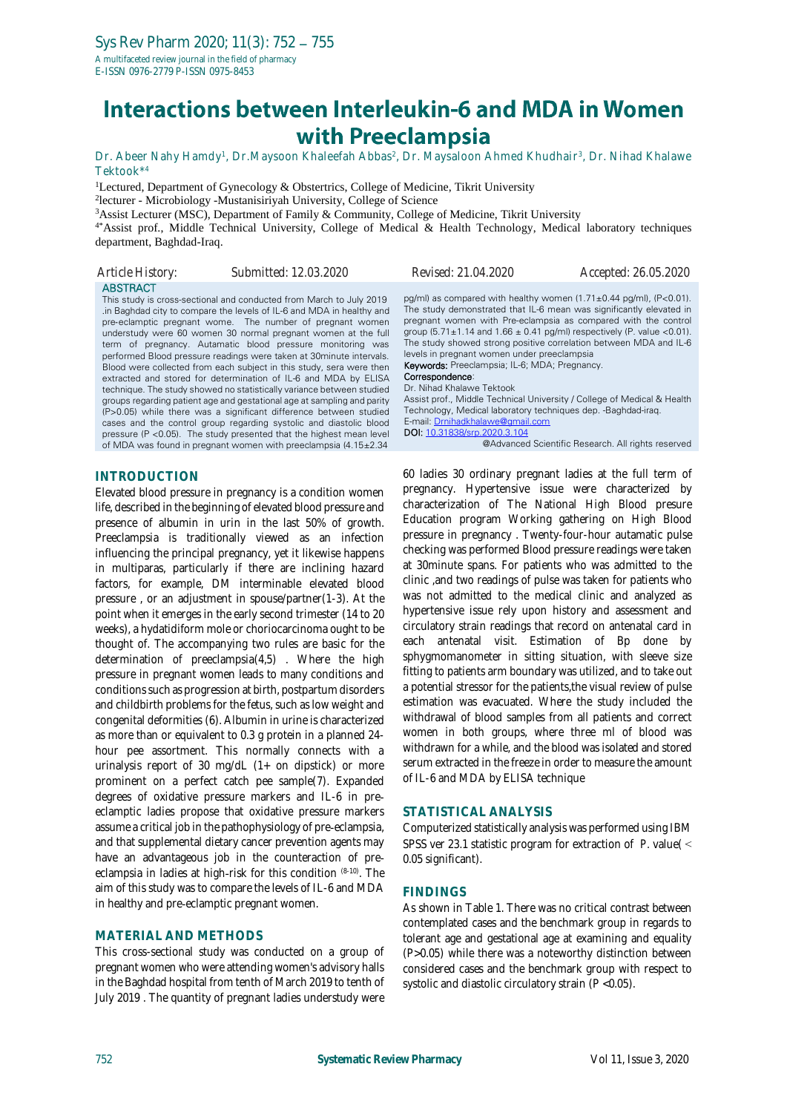# Interactions between Interleukin-6 and MDA in Women with Preeclampsia

Dr. Abeer Nahy Hamdy<sup>1</sup>, Dr.Maysoon Khaleefah Abbas<sup>2</sup>, Dr. Maysaloon Ahmed Khudhair<sup>3</sup>, Dr. Nihad Khalawe Tektook\* 4

<sup>1</sup>Lectured, Department of Gynecology & Obstertrics, College of Medicine, Tikrit University 2 lecturer - Microbiology -Mustanisiriyah University, College of Science

<sup>3</sup>Assist Lecturer (MSC), Department of Family & Community, College of Medicine, Tikrit University

4\*Assist prof., Middle Technical University, College of Medical & Health Technology, Medical laboratory techniques department, Baghdad-Iraq.

| Article History: | Submitted: 12.03.2020                                                                                                                                                                                                                                                                                                                                                                                                                                                                                                                                     | Revised: 21.04.2020                                                                                                                                                                                                                                                                                                                                           | Accepted: 26.05.2020                                                                                                                     |
|------------------|-----------------------------------------------------------------------------------------------------------------------------------------------------------------------------------------------------------------------------------------------------------------------------------------------------------------------------------------------------------------------------------------------------------------------------------------------------------------------------------------------------------------------------------------------------------|---------------------------------------------------------------------------------------------------------------------------------------------------------------------------------------------------------------------------------------------------------------------------------------------------------------------------------------------------------------|------------------------------------------------------------------------------------------------------------------------------------------|
| <b>ABSTRACT</b>  | This study is cross-sectional and conducted from March to July 2019<br>in Baghdad city to compare the levels of IL-6 and MDA in healthy and<br>pre-eclamptic pregnant wome. The number of pregnant women<br>understudy were 60 women 30 normal pregnant women at the full<br>term of pregnancy. Autamatic blood pressure monitoring was<br>performed Blood pressure readings were taken at 30minute intervals.<br>Blood were collected from each subject in this study, sera were then<br>extracted and stored for determination of IL-6 and MDA by ELISA | pq/ml) as compared with healthy women $(1.71 \pm 0.44 \text{ pq/ml})$ , $(P<0.01)$ .<br>pregnant women with Pre-eclampsia as compared with the control<br>group $(5.71 \pm 1.14$ and $1.66 \pm 0.41$ pg/ml) respectively (P. value <0.01).<br>levels in pregnant women under preeclampsia<br>Keywords: Preeclampsia; IL-6; MDA; Pregnancy.<br>Correspondence: | The study demonstrated that IL-6 mean was significantly elevated in<br>The study showed strong positive correlation between MDA and IL-6 |

technique. The study showed no statistically variance between studied groups regarding patient age and gestational age at sampling and parity Dr. Nihad Khalawe Tektook

Assist prof., Middle Technical University / College of Medical & Health Technology, Medical laboratory techniques dep. -Baghdad-iraq. E-mail[: Drnihadkhalawe@gmail.com](mailto:Drnihadkhalawe@gmail.com) DOI: [10.31838/srp.2020.3.104](http://dx.doi.org/10.5530/srp.2019.2.04) @Advanced Scientific Research. All rights reserved

#### **INTRODUCTION**

Elevated blood pressure in pregnancy is a condition women life, described in the beginning of elevated blood pressure and presence of albumin in urin in the last 50% of growth. Preeclampsia is traditionally viewed as an infection influencing the principal pregnancy, yet it likewise happens in multiparas, particularly if there are inclining hazard factors, for example, DM interminable elevated blood pressure , or an adjustment in spouse/partner(1-3). At the point when it emerges in the early second trimester (14 to 20 weeks), a hydatidiform mole or choriocarcinoma ought to be thought of. The accompanying two rules are basic for the determination of preeclampsia(4,5) . Where the high pressure in pregnant women leads to many conditions and conditions such as progression at birth, postpartum disorders and childbirth problems for the fetus, such as low weight and congenital deformities (6). Albumin in urine is characterized as more than or equivalent to 0.3 g protein in a planned 24 hour pee assortment. This normally connects with a urinalysis report of 30 mg/dL (1+ on dipstick) or more prominent on a perfect catch pee sample(7). Expanded degrees of oxidative pressure markers and IL-6 in pre‐ eclamptic ladies propose that oxidative pressure markers assume a critical job in the pathophysiology of pre‐eclampsia, and that supplemental dietary cancer prevention agents may have an advantageous job in the counteraction of pre‐ eclampsia in ladies at high-risk for this condition (8-10). The aim of this study was to compare the levels of IL-6 and MDA in healthy and pre‐eclamptic pregnant women.

(P>0.05) while there was a significant difference between studied cases and the control group regarding systolic and diastolic blood pressure (P <0.05). The study presented that the highest mean level of MDA was found in pregnant women with preeclampsia (4.15±2.34

#### **MATERIAL AND METHODS**

This cross-sectional study was conducted on a group of pregnant women who were attending women's advisory halls in the Baghdad hospital from tenth of March 2019 to tenth of July 2019 . The quantity of pregnant ladies understudy were

60 ladies 30 ordinary pregnant ladies at the full term of pregnancy. Hypertensive issue were characterized by characterization of The National High Blood presure Education program Working gathering on High Blood pressure in pregnancy . Twenty-four-hour autamatic pulse checking was performed Blood pressure readings were taken at 30minute spans. For patients who was admitted to the clinic ,and two readings of pulse was taken for patients who was not admitted to the medical clinic and analyzed as hypertensive issue rely upon history and assessment and circulatory strain readings that record on antenatal card in each antenatal visit. Estimation of Bp done by sphygmomanometer in sitting situation, with sleeve size fitting to patients arm boundary was utilized, and to take out a potential stressor for the patients,the visual review of pulse estimation was evacuated. Where the study included the withdrawal of blood samples from all patients and correct women in both groups, where three ml of blood was withdrawn for a while, and the blood was isolated and stored serum extracted in the freeze in order to measure the amount of IL-6 and MDA by ELISA technique

#### **STATISTICAL ANALYSIS**

Computerized statistically analysis was performed using IBM SPSS ver 23.1 statistic program for extraction of *P.* value( < 0.05 significant).

#### **FINDINGS**

As shown in Table 1. There was no critical contrast between contemplated cases and the benchmark group in regards to tolerant age and gestational age at examining and equality (P>0.05) while there was a noteworthy distinction between considered cases and the benchmark group with respect to systolic and diastolic circulatory strain (P <0.05).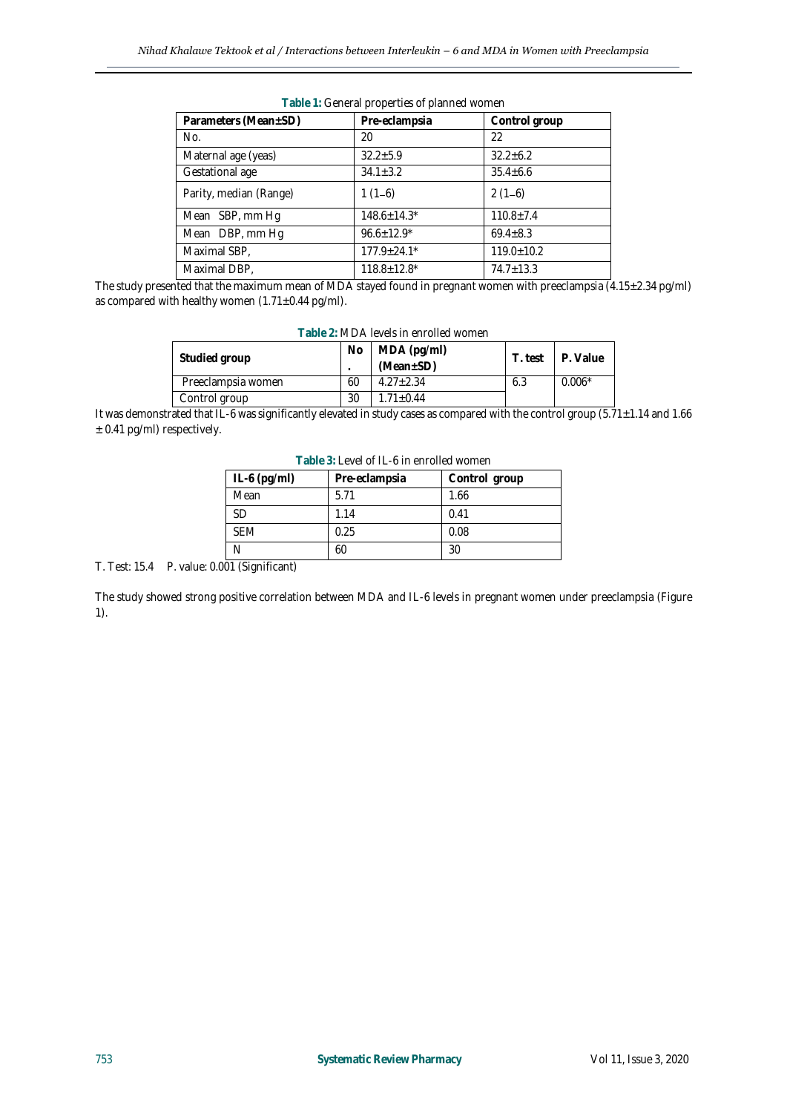| Parameters (Mean±SD)   | Pre-eclampsia      | Control group    |  |  |  |
|------------------------|--------------------|------------------|--|--|--|
| No.                    | 20                 | 22               |  |  |  |
| Maternal age (yeas)    | $32.2 + 5.9$       | $32.2 \pm 6.2$   |  |  |  |
| Gestational age        | $34.1 \pm 3.2$     | $35.4 \pm 6.6$   |  |  |  |
| Parity, median (Range) | $1(1-6)$           | $2(1-6)$         |  |  |  |
| Mean SBP, mm Hg        | $148.6 \pm 14.3*$  | $110.8 \pm 7.4$  |  |  |  |
| Mean DBP, mm Hg        | $96.6 \pm 12.9$ *  | $69.4 \pm 8.3$   |  |  |  |
| Maximal SBP,           | $177.9 \pm 24.1*$  | $119.0 \pm 10.2$ |  |  |  |
| Maximal DBP,           | $118.8 \pm 12.8^*$ | $74.7 \pm 13.3$  |  |  |  |
|                        |                    |                  |  |  |  |

**Table 1:** General properties of planned women

The study presented that the maximum mean of MDA stayed found in pregnant women with preeclampsia (4.15±2.34 pg/ml) as compared with healthy women  $(1.71\pm0.44$  pg/ml).

| Table Z: MDA levels In enfolled women. |     |                                |         |          |  |
|----------------------------------------|-----|--------------------------------|---------|----------|--|
| Studied group                          | No. | MDA (pg/ml)<br>$(Mean \pm SD)$ | T. test | P. Value |  |
| Preeclampsia women                     | 60  | $4.27 + 2.34$                  | 6.3     | $0.006*$ |  |
| Control group                          | 30  | $1.71 + 0.44$                  |         |          |  |

# **Table 2:** MDA levels in enrolled women

It was demonstrated that IL-6 was significantly elevated in study cases as compared with the control group (5.71±1.14 and 1.66 ± 0.41 pg/ml) respectively.

| $IL-6$ (pg/ml) | Pre-eclampsia | Control group |  |  |  |
|----------------|---------------|---------------|--|--|--|
| Mean           | 5.71          | 1.66          |  |  |  |
| <b>SD</b>      | 1.14          | 0.41          |  |  |  |
| <b>SFM</b>     | 0.25          | 0.08          |  |  |  |
|                | 60            | 30            |  |  |  |

**Table 3:** Level of IL-6 in enrolled women

T. Test: 15.4 P. value: 0.001 (Significant)

The study showed strong positive correlation between MDA and IL-6 levels in pregnant women under preeclampsia (Figure 1).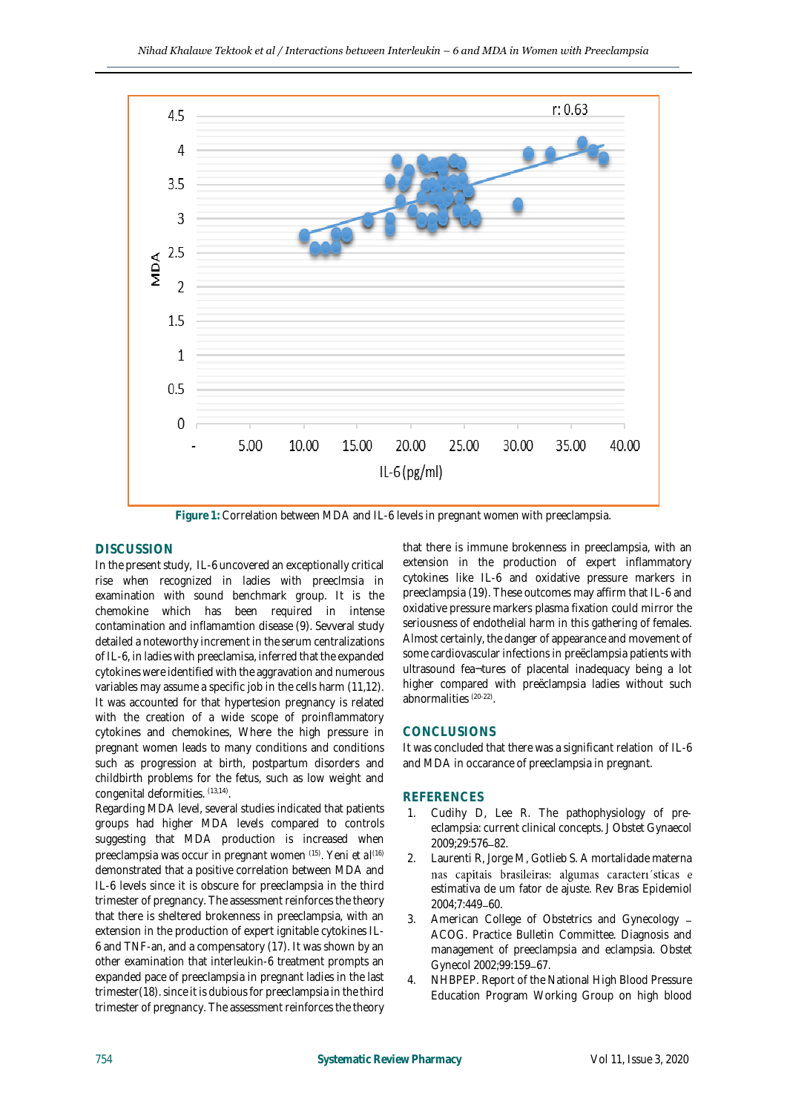

**Figure 1:** Correlation between MDA and IL-6 levels in pregnant women with preeclampsia.

### **DISCUSSION**

In the present study, IL-6 uncovered an exceptionally critical rise when recognized in ladies with preeclmsia in examination with sound benchmark group. It is the chemokine which has been required in intense contamination and inflamamtion disease (9). Sevveral study detailed a noteworthy increment in the serum centralizations of IL-6, in ladies with preeclamisa, inferred that the expanded cytokines were identified with the aggravation and numerous variables may assume a specific job in the cells harm (11,12). It was accounted for that hypertesion pregnancy is related with the creation of a wide scope of proinflammatory cytokines and chemokines, Where the high pressure in pregnant women leads to many conditions and conditions such as progression at birth, postpartum disorders and childbirth problems for the fetus, such as low weight and congenital deformities. (13,14) .

Regarding MDA level, several studies indicated that patients groups had higher MDA levels compared to controls suggesting that MDA production is increased when preeclampsia was occur in pregnant women (15) . Yeni *et al*[\(16\)](https://www.ncbi.nlm.nih.gov/pmc/articles/PMC130099/#r14)  demonstrated that a positive correlation between MDA and IL-6 levels since it is obscure for preeclampsia in the third trimester of pregnancy. The assessment reinforces the theory that there is sheltered brokenness in preeclampsia, with an extension in the production of expert ignitable cytokines IL-6 and TNF-an, and a compensatory (17). It was shown by an other examination that interleukin-6 treatment prompts an expanded pace of preeclampsia in pregnant ladies in the last trimester(18). since it is dubious for preeclampsia in the third trimester of pregnancy. The assessment reinforces the theory

that there is immune brokenness in preeclampsia, with an extension in the production of expert inflammatory cytokines like IL-6 and oxidative pressure markers in preeclampsia (19). These outcomes may affirm that IL-6 and oxidative pressure markers plasma fixation could mirror the seriousness of endothelial harm in this gathering of females. Almost certainly, the danger of appearance and movement of some cardiovascular infections in preëclampsia patients with ultrasound fea¬tures of placental inadequacy being a lot higher compared with preëclampsia ladies without such abnormalities (20-22) .

## **CONCLUSIONS**

It was concluded that there was a significant relation of IL-6 and MDA in occarance of preeclampsia in pregnant.

#### **REFERENCES**

- 1. Cudihy D, Lee R. The pathophysiology of preeclampsia: current clinical concepts. J Obstet Gynaecol 2009;29:576-82.
- 2. Laurenti R, Jorge M, Gotlieb S. A mortalidade materna nas capitais brasileiras: algumas caracteri sticas e estimativa de um fator de ajuste. Rev Bras Epidemiol 2004;7:449-60.
- 3. American College of Obstetrics and Gynecology ACOG. Practice Bulletin Committee. Diagnosis and management of preeclampsia and eclampsia. Obstet Gynecol 2002;99:159-67.
- 4. NHBPEP. Report of the National High Blood Pressure Education Program Working Group on high blood